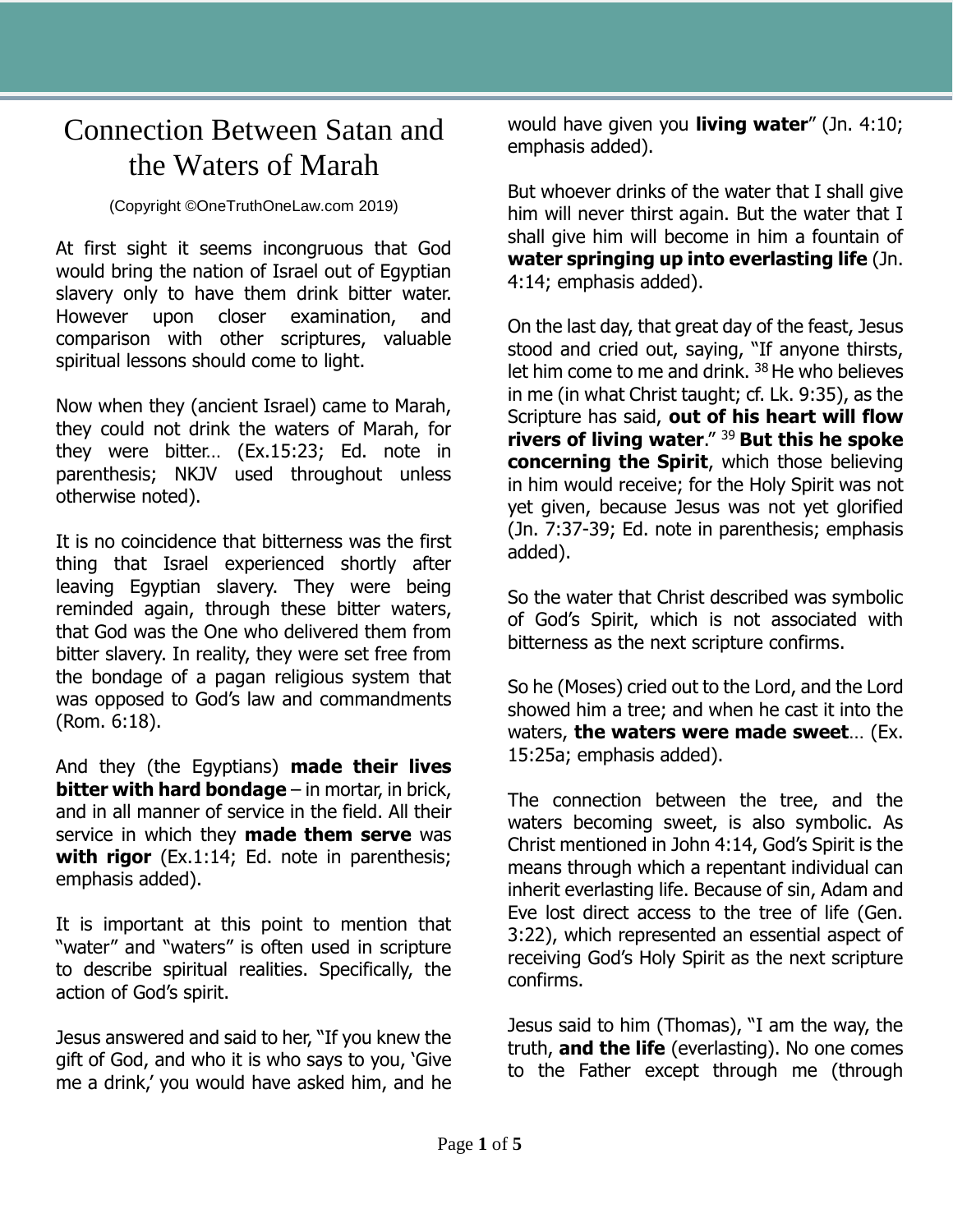## Connection Between Satan and the Waters of Marah

## (Copyright ©OneTruthOneLaw.com 2019)

At first sight it seems incongruous that God would bring the nation of Israel out of Egyptian slavery only to have them drink bitter water. However upon closer examination, and comparison with other scriptures, valuable spiritual lessons should come to light.

Now when they (ancient Israel) came to Marah, they could not drink the waters of Marah, for they were bitter… (Ex.15:23; Ed. note in parenthesis; NKJV used throughout unless otherwise noted).

It is no coincidence that bitterness was the first thing that Israel experienced shortly after leaving Egyptian slavery. They were being reminded again, through these bitter waters, that God was the One who delivered them from bitter slavery. In reality, they were set free from the bondage of a pagan religious system that was opposed to God's law and commandments (Rom. 6:18).

And they (the Egyptians) **made their lives bitter with hard bondage** – in mortar, in brick, and in all manner of service in the field. All their service in which they **made them serve** was **with rigor** (Ex.1:14; Ed. note in parenthesis; emphasis added).

It is important at this point to mention that "water" and "waters" is often used in scripture to describe spiritual realities. Specifically, the action of God's spirit.

Jesus answered and said to her, "If you knew the gift of God, and who it is who says to you, 'Give me a drink,' you would have asked him, and he would have given you **living water**" (Jn. 4:10; emphasis added).

But whoever drinks of the water that I shall give him will never thirst again. But the water that I shall give him will become in him a fountain of **water springing up into everlasting life** (Jn. 4:14; emphasis added).

On the last day, that great day of the feast, Jesus stood and cried out, saying, "If anyone thirsts, let him come to me and drink.  $38$  He who believes in me (in what Christ taught; cf. Lk. 9:35), as the Scripture has said, **out of his heart will flow rivers of living water**." <sup>39</sup>**But this he spoke concerning the Spirit**, which those believing in him would receive; for the Holy Spirit was not yet given, because Jesus was not yet glorified (Jn. 7:37-39; Ed. note in parenthesis; emphasis added).

So the water that Christ described was symbolic of God's Spirit, which is not associated with bitterness as the next scripture confirms.

So he (Moses) cried out to the Lord, and the Lord showed him a tree; and when he cast it into the waters, **the waters were made sweet**… (Ex. 15:25a; emphasis added).

The connection between the tree, and the waters becoming sweet, is also symbolic. As Christ mentioned in John 4:14, God's Spirit is the means through which a repentant individual can inherit everlasting life. Because of sin, Adam and Eve lost direct access to the tree of life (Gen. 3:22), which represented an essential aspect of receiving God's Holy Spirit as the next scripture confirms.

Jesus said to him (Thomas), "I am the way, the truth, **and the life** (everlasting). No one comes to the Father except through me (through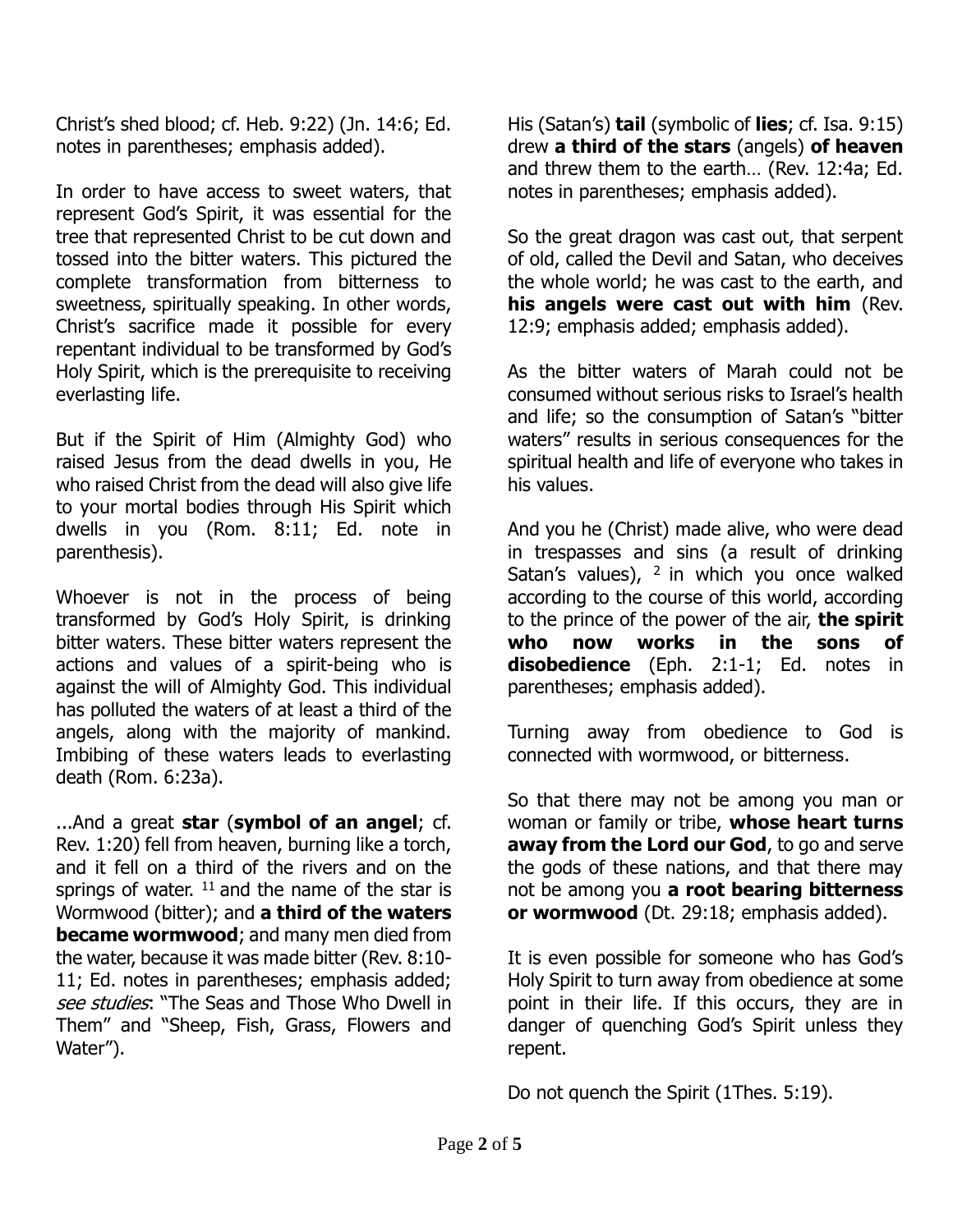Christ's shed blood; cf. Heb. 9:22) (Jn. 14:6; Ed. notes in parentheses; emphasis added).

In order to have access to sweet waters, that represent God's Spirit, it was essential for the tree that represented Christ to be cut down and tossed into the bitter waters. This pictured the complete transformation from bitterness to sweetness, spiritually speaking. In other words, Christ's sacrifice made it possible for every repentant individual to be transformed by God's Holy Spirit, which is the prerequisite to receiving everlasting life.

But if the Spirit of Him (Almighty God) who raised Jesus from the dead dwells in you, He who raised Christ from the dead will also give life to your mortal bodies through His Spirit which dwells in you (Rom. 8:11; Ed. note in parenthesis).

Whoever is not in the process of being transformed by God's Holy Spirit, is drinking bitter waters. These bitter waters represent the actions and values of a spirit-being who is against the will of Almighty God. This individual has polluted the waters of at least a third of the angels, along with the majority of mankind. Imbibing of these waters leads to everlasting death (Rom. 6:23a).

...And a great **star** (**symbol of an angel**; cf. Rev. 1:20) fell from heaven, burning like a torch, and it fell on a third of the rivers and on the springs of water.  $11$  and the name of the star is Wormwood (bitter); and **a third of the waters became wormwood**; and many men died from the water, because it was made bitter (Rev. 8:10- 11; Ed. notes in parentheses; emphasis added; see studies: "The Seas and Those Who Dwell in Them" and "Sheep, Fish, Grass, Flowers and Water").

His (Satan's) **tail** (symbolic of **lies**; cf. Isa. 9:15) drew **a third of the stars** (angels) **of heaven** and threw them to the earth… (Rev. 12:4a; Ed. notes in parentheses; emphasis added).

So the great dragon was cast out, that serpent of old, called the Devil and Satan, who deceives the whole world; he was cast to the earth, and **his angels were cast out with him** (Rev. 12:9; emphasis added; emphasis added).

As the bitter waters of Marah could not be consumed without serious risks to Israel's health and life; so the consumption of Satan's "bitter waters" results in serious consequences for the spiritual health and life of everyone who takes in his values.

And you he (Christ) made alive, who were dead in trespasses and sins (a result of drinking Satan's values),  $2$  in which you once walked according to the course of this world, according to the prince of the power of the air, **the spirit who now works in the sons of disobedience** (Eph. 2:1-1; Ed. notes in parentheses; emphasis added).

Turning away from obedience to God is connected with wormwood, or bitterness.

So that there may not be among you man or woman or family or tribe, **whose heart turns away from the Lord our God**, to go and serve the gods of these nations, and that there may not be among you **a root bearing bitterness or wormwood** (Dt. 29:18; emphasis added).

It is even possible for someone who has God's Holy Spirit to turn away from obedience at some point in their life. If this occurs, they are in danger of quenching God's Spirit unless they repent.

Do not quench the Spirit (1Thes. 5:19).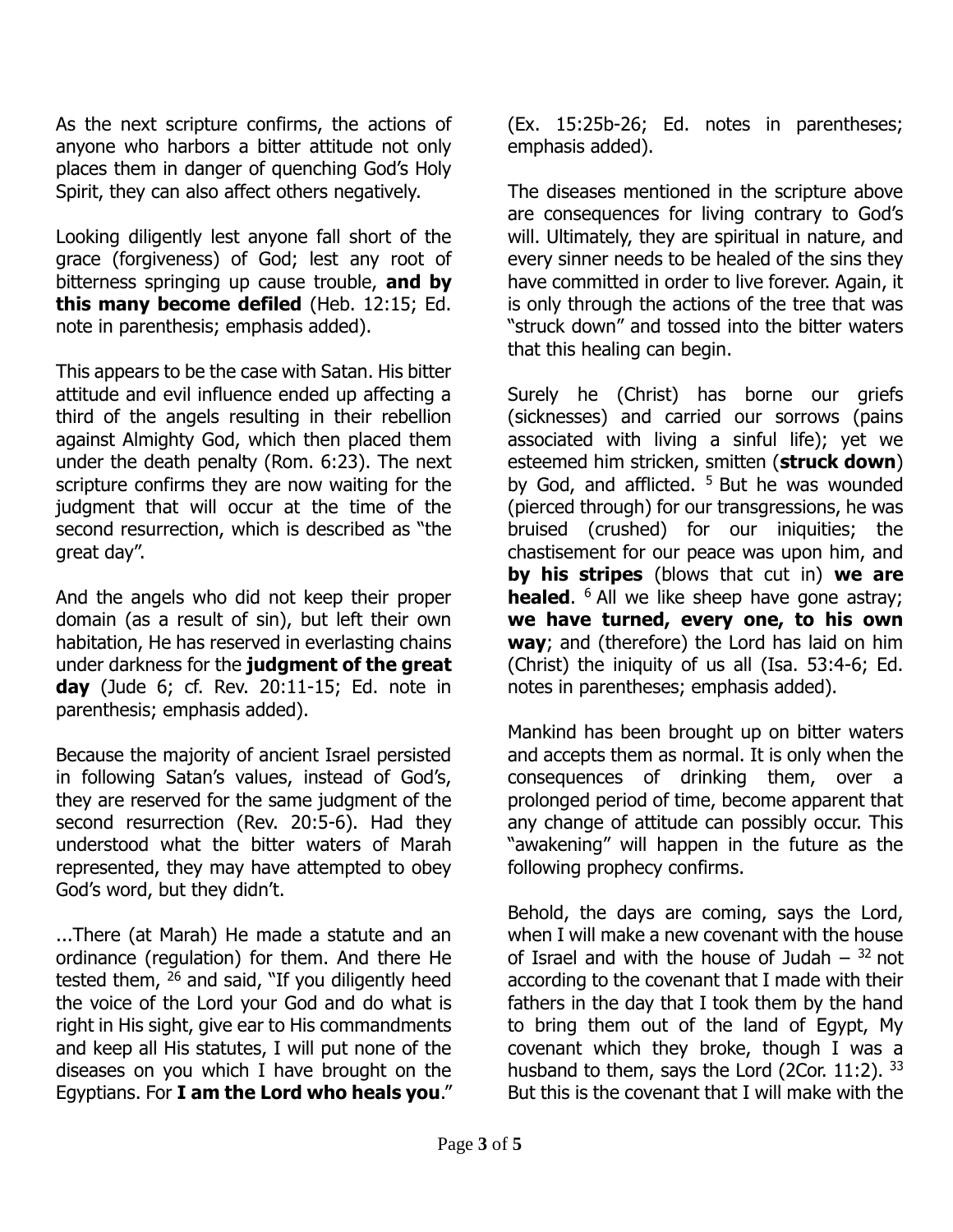As the next scripture confirms, the actions of anyone who harbors a bitter attitude not only places them in danger of quenching God's Holy Spirit, they can also affect others negatively.

Looking diligently lest anyone fall short of the grace (forgiveness) of God; lest any root of bitterness springing up cause trouble, **and by this many become defiled** (Heb. 12:15; Ed. note in parenthesis; emphasis added).

This appears to be the case with Satan. His bitter attitude and evil influence ended up affecting a third of the angels resulting in their rebellion against Almighty God, which then placed them under the death penalty (Rom. 6:23). The next scripture confirms they are now waiting for the judgment that will occur at the time of the second resurrection, which is described as "the great day".

And the angels who did not keep their proper domain (as a result of sin), but left their own habitation, He has reserved in everlasting chains under darkness for the **judgment of the great day** (Jude 6; cf. Rev. 20:11-15; Ed. note in parenthesis; emphasis added).

Because the majority of ancient Israel persisted in following Satan's values, instead of God's, they are reserved for the same judgment of the second resurrection (Rev. 20:5-6). Had they understood what the bitter waters of Marah represented, they may have attempted to obey God's word, but they didn't.

...There (at Marah) He made a statute and an ordinance (regulation) for them. And there He tested them,  $26$  and said, "If you diligently heed the voice of the Lord your God and do what is right in His sight, give ear to His commandments and keep all His statutes, I will put none of the diseases on you which I have brought on the Egyptians. For **I am the Lord who heals you**."

(Ex. 15:25b-26; Ed. notes in parentheses; emphasis added).

The diseases mentioned in the scripture above are consequences for living contrary to God's will. Ultimately, they are spiritual in nature, and every sinner needs to be healed of the sins they have committed in order to live forever. Again, it is only through the actions of the tree that was "struck down" and tossed into the bitter waters that this healing can begin.

Surely he (Christ) has borne our griefs (sicknesses) and carried our sorrows (pains associated with living a sinful life); yet we esteemed him stricken, smitten (**struck down**) by God, and afflicted.  $5$  But he was wounded (pierced through) for our transgressions, he was bruised (crushed) for our iniquities; the chastisement for our peace was upon him, and **by his stripes** (blows that cut in) **we are healed.** <sup>6</sup> All we like sheep have gone astray; **we have turned, every one, to his own way**; and (therefore) the Lord has laid on him (Christ) the iniquity of us all (Isa. 53:4-6; Ed. notes in parentheses; emphasis added).

Mankind has been brought up on bitter waters and accepts them as normal. It is only when the consequences of drinking them, over a prolonged period of time, become apparent that any change of attitude can possibly occur. This "awakening" will happen in the future as the following prophecy confirms.

Behold, the days are coming, says the Lord, when I will make a new covenant with the house of Israel and with the house of Judah  $-32$  not according to the covenant that I made with their fathers in the day that I took them by the hand to bring them out of the land of Egypt, My covenant which they broke, though I was a husband to them, says the Lord (2Cor. 11:2). 33 But this is the covenant that I will make with the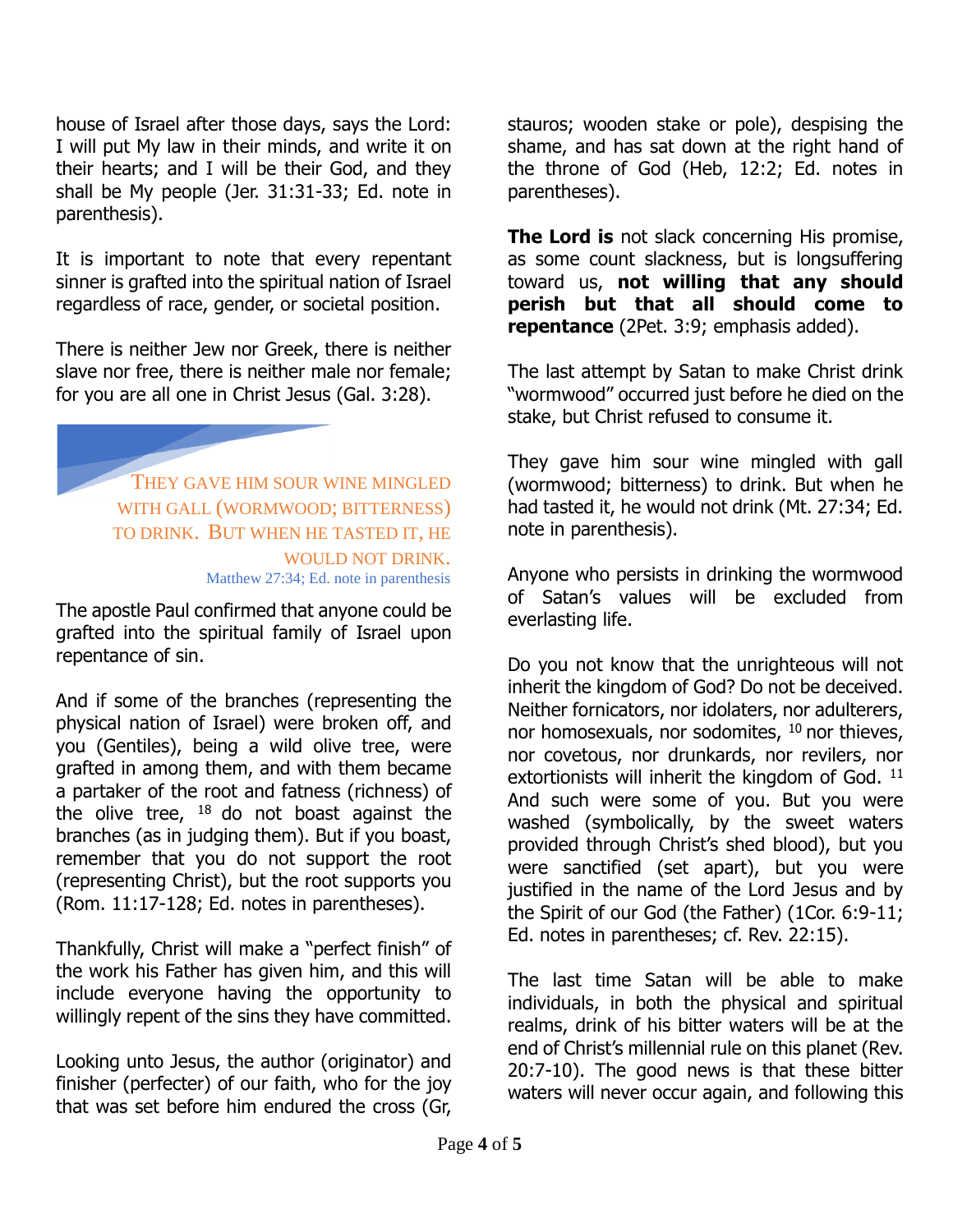house of Israel after those days, says the Lord: I will put My law in their minds, and write it on their hearts; and I will be their God, and they shall be My people (Jer. 31:31-33; Ed. note in parenthesis).

It is important to note that every repentant sinner is grafted into the spiritual nation of Israel regardless of race, gender, or societal position.

There is neither Jew nor Greek, there is neither slave nor free, there is neither male nor female; for you are all one in Christ Jesus (Gal. 3:28).

> THEY GAVE HIM SOUR WINE MINGLED WITH GALL (WORMWOOD; BITTERNESS) TO DRINK. BUT WHEN HE TASTED IT, HE WOULD NOT DRINK. Matthew 27:34; Ed. note in parenthesis

The apostle Paul confirmed that anyone could be grafted into the spiritual family of Israel upon repentance of sin.

And if some of the branches (representing the physical nation of Israel) were broken off, and you (Gentiles), being a wild olive tree, were grafted in among them, and with them became a partaker of the root and fatness (richness) of the olive tree,  $18$  do not boast against the branches (as in judging them). But if you boast, remember that you do not support the root (representing Christ), but the root supports you (Rom. 11:17-128; Ed. notes in parentheses).

Thankfully, Christ will make a "perfect finish" of the work his Father has given him, and this will include everyone having the opportunity to willingly repent of the sins they have committed.

Looking unto Jesus, the author (originator) and finisher (perfecter) of our faith, who for the joy that was set before him endured the cross (Gr,

stauros; wooden stake or pole), despising the shame, and has sat down at the right hand of the throne of God (Heb, 12:2; Ed. notes in parentheses).

**The Lord is** not slack concerning His promise, as some count slackness, but is longsuffering toward us, **not willing that any should perish but that all should come to repentance** (2Pet. 3:9; emphasis added).

The last attempt by Satan to make Christ drink "wormwood" occurred just before he died on the stake, but Christ refused to consume it.

They gave him sour wine mingled with gall (wormwood; bitterness) to drink. But when he had tasted it, he would not drink (Mt. 27:34; Ed. note in parenthesis).

Anyone who persists in drinking the wormwood of Satan's values will be excluded from everlasting life.

Do you not know that the unrighteous will not inherit the kingdom of God? Do not be deceived. Neither fornicators, nor idolaters, nor adulterers, nor homosexuals, nor sodomites,  $10$  nor thieves, nor covetous, nor drunkards, nor revilers, nor extortionists will inherit the kingdom of God.  $11$ And such were some of you. But you were washed (symbolically, by the sweet waters provided through Christ's shed blood), but you were sanctified (set apart), but you were justified in the name of the Lord Jesus and by the Spirit of our God (the Father) (1Cor. 6:9-11; Ed. notes in parentheses; cf. Rev. 22:15).

The last time Satan will be able to make individuals, in both the physical and spiritual realms, drink of his bitter waters will be at the end of Christ's millennial rule on this planet (Rev. 20:7-10). The good news is that these bitter waters will never occur again, and following this